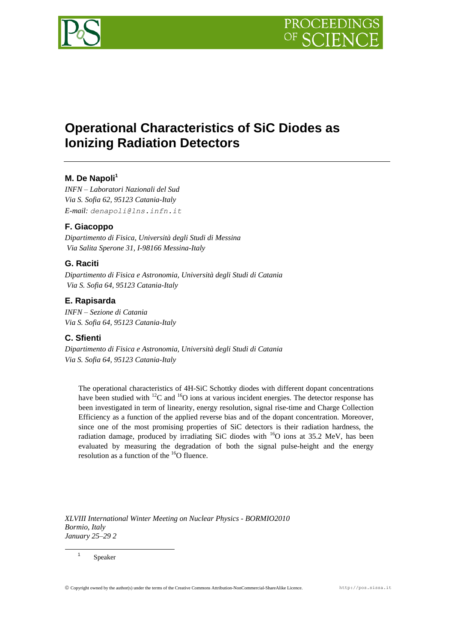

# **Operational Characteristics of SiC Diodes as Ionizing Radiation Detectors**

## **M. De Napoli<sup>1</sup>**

*INFN – Laboratori Nazionali del Sud Via S. Sofia 62, 95123 Catania-Italy E-mail: denapoli@lns.infn.it*

## **F. Giacoppo**

*Dipartimento di Fisica, Università degli Studi di Messina Via Salita Sperone 31, I-98166 Messina-Italy*

## **G. Raciti**

*Dipartimento di Fisica e Astronomia, Università degli Studi di Catania Via S. Sofia 64, 95123 Catania-Italy*

## **E. Rapisarda**

*INFN – Sezione di Catania Via S. Sofia 64, 95123 Catania-Italy*

#### **C. Sfienti**

*Dipartimento di Fisica e Astronomia, Università degli Studi di Catania Via S. Sofia 64, 95123 Catania-Italy*

The operational characteristics of 4H-SiC Schottky diodes with different dopant concentrations have been studied with  ${}^{12}C$  and  ${}^{16}O$  ions at various incident energies. The detector response has been investigated in term of linearity, energy resolution, signal rise-time and Charge Collection Efficiency as a function of the applied reverse bias and of the dopant concentration. Moreover, since one of the most promising properties of SiC detectors is their radiation hardness, the radiation damage, produced by irradiating SiC diodes with  $^{16}O$  ions at 35.2 MeV, has been evaluated by measuring the degradation of both the signal pulse-height and the energy resolution as a function of the  $^{16}$ O fluence.

*XLVIII International Winter Meeting on Nuclear Physics - BORMIO2010 Bormio, Italy January 25–29 2*

1 Speaker

1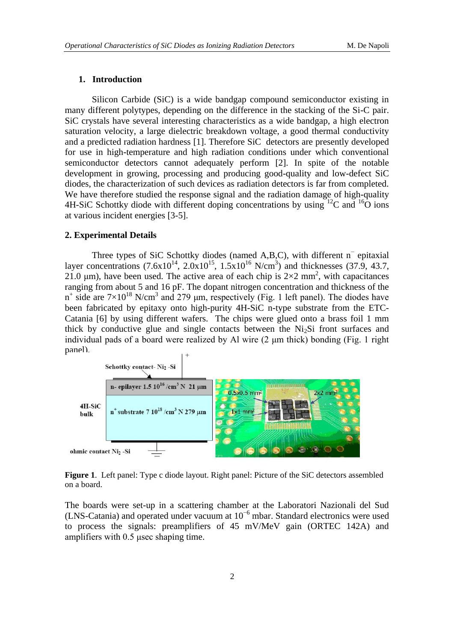#### **1. Introduction**

Silicon Carbide (SiC) is a wide bandgap compound semiconductor existing in many different polytypes, depending on the difference in the stacking of the Si-C pair. SiC crystals have several interesting characteristics as a wide bandgap, a high electron saturation velocity, a large dielectric breakdown voltage, a good thermal conductivity and a predicted radiation hardness [1]. Therefore SiC detectors are presently developed for use in high-temperature and high radiation conditions under which conventional semiconductor detectors cannot adequately perform [2]. In spite of the notable development in growing, processing and producing good-quality and low-defect SiC diodes, the characterization of such devices as radiation detectors is far from completed. We have therefore studied the response signal and the radiation damage of high-quality 4H-SiC Schottky diode with different doping concentrations by using <sup>12</sup>C and <sup>16</sup>O ions at various incident energies [3-5].

#### **2. Experimental Details**

Three types of SiC Schottky diodes (named A,B,C), with different n<sup>−</sup> epitaxial layer concentrations  $(7.6x10^{14}, 2.0x10^{15}, 1.5x10^{16} \text{ N/cm}^3)$  and thicknesses  $(37.9, 43.7, 1.5x10^{16} \text{ N/cm}^3)$ 21.0  $\mu$ m), have been used. The active area of each chip is 2 $\times$ 2 mm<sup>2</sup>, with capacitances ranging from about 5 and 16 pF. The dopant nitrogen concentration and thickness of the  $n^+$  side are  $7\times10^{18}$  N/cm<sup>3</sup> and 279 μm, respectively (Fig. 1 left panel). The diodes have been fabricated by epitaxy onto high-purity 4H-SiC n-type substrate from the ETC-Catania [6] by using different wafers. The chips were glued onto a brass foil 1 mm thick by conductive glue and single contacts between the  $Ni<sub>2</sub>Si$  front surfaces and individual pads of a board were realized by Al wire (2 μm thick) bonding (Fig. 1 right panel).



**Figure 1**. Left panel: Type c diode layout. Right panel: Picture of the SiC detectors assembled on a board.

The boards were set-up in a scattering chamber at the Laboratori Nazionali del Sud (LNS-Catania) and operated under vacuum at 10−6 mbar. Standard electronics were used to process the signals: preamplifiers of 45 mV/MeV gain (ORTEC 142A) and amplifiers with 0.5 μsec shaping time.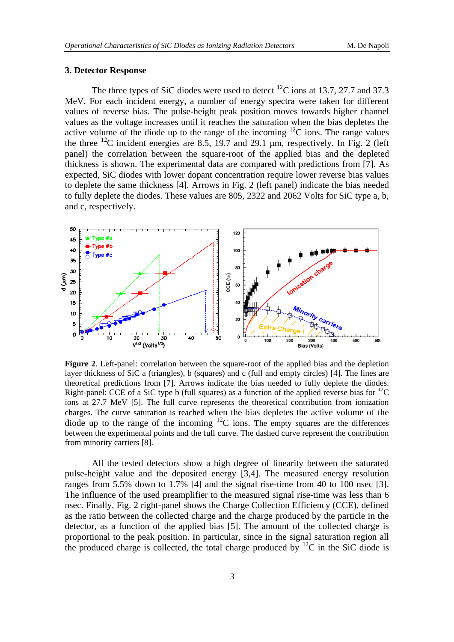## **3. Detector Response**

The three types of SiC diodes were used to detect  $^{12}$ C ions at 13.7, 27.7 and 37.3 MeV. For each incident energy, a number of energy spectra were taken for different values of reverse bias. The pulse-height peak position moves towards higher channel values as the voltage increases until it reaches the saturation when the bias depletes the active volume of the diode up to the range of the incoming  ${}^{12}C$  ions. The range values the three  $^{12}$ C incident energies are 8.5, 19.7 and 29.1  $\mu$ m, respectively. In Fig. 2 (left panel) the correlation between the square-root of the applied bias and the depleted thickness is shown. The experimental data are compared with predictions from [7]. As expected, SiC diodes with lower dopant concentration require lower reverse bias values to deplete the same thickness [4]. Arrows in Fig. 2 (left panel) indicate the bias needed to fully deplete the diodes. These values are 805, 2322 and 2062 Volts for SiC type a, b, and c, respectively.



**Figure 2**. Left-panel: correlation between the square-root of the applied bias and the depletion layer thickness of SiC a (triangles), b (squares) and c (full and empty circles) [4]. The lines are theoretical predictions from [7]. Arrows indicate the bias needed to fully deplete the diodes. Right-panel: CCE of a SiC type b (full squares) as a function of the applied reverse bias for  ${}^{12}C$ ions at 27.7 MeV [5]. The full curve represents the theoretical contribution from ionization charges. The curve saturation is reached when the bias depletes the active volume of the diode up to the range of the incoming  ${}^{12}C$  ions. The empty squares are the differences between the experimental points and the full curve. The dashed curve represent the contribution from minority carriers [8].

All the tested detectors show a high degree of linearity between the saturated pulse-height value and the deposited energy [3,4]. The measured energy resolution ranges from 5.5% down to 1.7% [4] and the signal rise-time from 40 to 100 nsec [3]. The influence of the used preamplifier to the measured signal rise-time was less than 6 nsec. Finally, Fig. 2 right-panel shows the Charge Collection Efficiency (CCE), defined as the ratio between the collected charge and the charge produced by the particle in the detector, as a function of the applied bias [5]. The amount of the collected charge is proportional to the peak position. In particular, since in the signal saturation region all the produced charge is collected, the total charge produced by  $^{12}C$  in the SiC diode is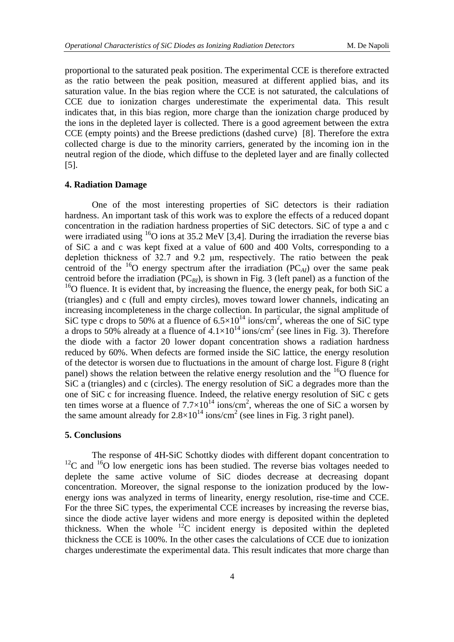proportional to the saturated peak position. The experimental CCE is therefore extracted as the ratio between the peak position, measured at different applied bias, and its saturation value. In the bias region where the CCE is not saturated, the calculations of CCE due to ionization charges underestimate the experimental data. This result indicates that, in this bias region, more charge than the ionization charge produced by the ions in the depleted layer is collected. There is a good agreement between the extra CCE (empty points) and the Breese predictions (dashed curve) [8]. Therefore the extra collected charge is due to the minority carriers, generated by the incoming ion in the neutral region of the diode, which diffuse to the depleted layer and are finally collected [5].

#### **4. Radiation Damage**

One of the most interesting properties of SiC detectors is their radiation hardness. An important task of this work was to explore the effects of a reduced dopant concentration in the radiation hardness properties of SiC detectors. SiC of type a and c were irradiated using  ${}^{16}O$  ions at 35.2 MeV [3,4]. During the irradiation the reverse bias of SiC a and c was kept fixed at a value of 600 and 400 Volts, corresponding to a depletion thickness of 32.7 and 9.2 μm, respectively. The ratio between the peak centroid of the  $^{16}$ O energy spectrum after the irradiation (PC<sub>*AI*</sub>) over the same peak centroid before the irradiation (PC*BI*), is shown in Fig. 3 (left panel) as a function of the  $16$ O fluence. It is evident that, by increasing the fluence, the energy peak, for both SiC a (triangles) and c (full and empty circles), moves toward lower channels, indicating an increasing incompleteness in the charge collection. In particular, the signal amplitude of SiC type c drops to 50% at a fluence of  $6.5 \times 10^{14}$  ions/cm<sup>2</sup>, whereas the one of SiC type a drops to 50% already at a fluence of  $4.1 \times 10^{14}$  ions/cm<sup>2</sup> (see lines in Fig. 3). Therefore the diode with a factor 20 lower dopant concentration shows a radiation hardness reduced by 60%. When defects are formed inside the SiC lattice, the energy resolution of the detector is worsen due to fluctuations in the amount of charge lost. Figure 8 (right panel) shows the relation between the relative energy resolution and the  ${}^{16}O$  fluence for SiC a (triangles) and c (circles). The energy resolution of SiC a degrades more than the one of SiC c for increasing fluence. Indeed, the relative energy resolution of SiC c gets ten times worse at a fluence of  $7.7 \times 10^{14}$  ions/cm<sup>2</sup>, whereas the one of SiC a worsen by the same amount already for  $2.8 \times 10^{14}$  ions/cm<sup>2</sup> (see lines in Fig. 3 right panel).

#### **5. Conclusions**

The response of 4H-SiC Schottky diodes with different dopant concentration to  $12^{\circ}$ C and  $16^{\circ}$ O low energetic ions has been studied. The reverse bias voltages needed to deplete the same active volume of SiC diodes decrease at decreasing dopant concentration. Moreover, the signal response to the ionization produced by the lowenergy ions was analyzed in terms of linearity, energy resolution, rise-time and CCE. For the three SiC types, the experimental CCE increases by increasing the reverse bias, since the diode active layer widens and more energy is deposited within the depleted thickness. When the whole  ${}^{12}C$  incident energy is deposited within the depleted thickness the CCE is 100%. In the other cases the calculations of CCE due to ionization charges underestimate the experimental data. This result indicates that more charge than